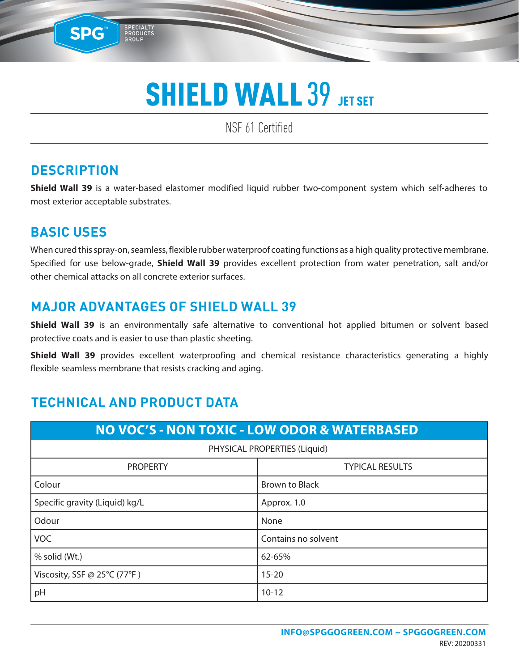NSF 61 Certified

### **DESCRIPTION**

SPG™

**Shield Wall 39** is a water-based elastomer modified liquid rubber two-component system which self-adheres to most exterior acceptable substrates.

### **BASIC USES**

When cured this spray-on, seamless, flexible rubber waterproof coating functions as a high quality protective membrane. Specified for use below-grade, **Shield Wall 39** provides excellent protection from water penetration, salt and/or other chemical attacks on all concrete exterior surfaces.

#### **MAJOR ADVANTAGES OF SHIELD WALL 39**

**Shield Wall 39** is an environmentally safe alternative to conventional hot applied bitumen or solvent based protective coats and is easier to use than plastic sheeting.

**Shield Wall 39** provides excellent waterproofing and chemical resistance characteristics generating a highly flexible seamless membrane that resists cracking and aging.

### **TECHNICAL AND PRODUCT DATA**

| <b>NO VOC'S - NON TOXIC - LOW ODOR &amp; WATERBASED</b> |                        |  |  |  |
|---------------------------------------------------------|------------------------|--|--|--|
| PHYSICAL PROPERTIES (Liquid)                            |                        |  |  |  |
| <b>PROPERTY</b>                                         | <b>TYPICAL RESULTS</b> |  |  |  |
| Colour                                                  | <b>Brown to Black</b>  |  |  |  |
| Specific gravity (Liquid) kg/L                          | Approx. 1.0            |  |  |  |
| Odour                                                   | None                   |  |  |  |
| <b>VOC</b>                                              | Contains no solvent    |  |  |  |
| % solid (Wt.)                                           | 62-65%                 |  |  |  |
| Viscosity, SSF @ 25°C (77°F)                            | $15 - 20$              |  |  |  |
| pH                                                      | $10 - 12$              |  |  |  |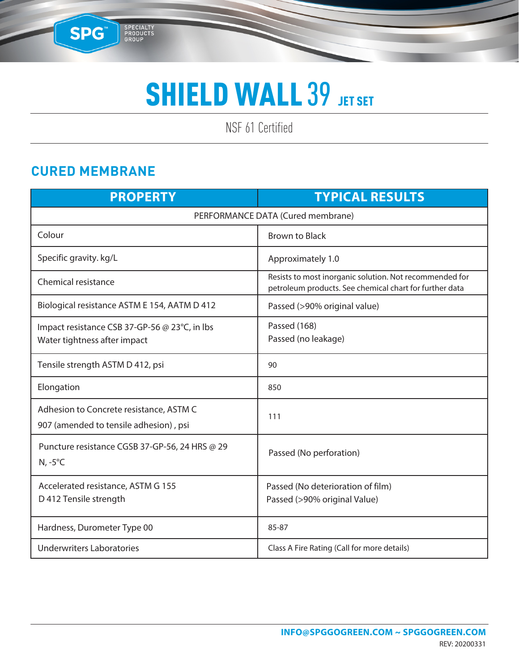NSF 61 Certified

### **CURED MEMBRANE**

SPG

SPECIALTY<br>PRODUCTS<br>GROUP

| <b>PROPERTY</b>                                                                   | <b>TYPICAL RESULTS</b>                                                                                             |  |  |  |
|-----------------------------------------------------------------------------------|--------------------------------------------------------------------------------------------------------------------|--|--|--|
| PERFORMANCE DATA (Cured membrane)                                                 |                                                                                                                    |  |  |  |
| Colour                                                                            | <b>Brown to Black</b>                                                                                              |  |  |  |
| Specific gravity. kg/L                                                            | Approximately 1.0                                                                                                  |  |  |  |
| <b>Chemical resistance</b>                                                        | Resists to most inorganic solution. Not recommended for<br>petroleum products. See chemical chart for further data |  |  |  |
| Biological resistance ASTM E 154, AATM D 412                                      | Passed (>90% original value)                                                                                       |  |  |  |
| Impact resistance CSB 37-GP-56 @ 23°C, in lbs<br>Water tightness after impact     | Passed (168)<br>Passed (no leakage)                                                                                |  |  |  |
| Tensile strength ASTM D 412, psi                                                  | 90                                                                                                                 |  |  |  |
| Elongation                                                                        | 850                                                                                                                |  |  |  |
| Adhesion to Concrete resistance, ASTM C<br>907 (amended to tensile adhesion), psi | 111                                                                                                                |  |  |  |
| Puncture resistance CGSB 37-GP-56, 24 HRS @ 29<br>$N, -5^{\circ}C$                | Passed (No perforation)                                                                                            |  |  |  |
| Accelerated resistance, ASTM G 155<br>D 412 Tensile strength                      | Passed (No deterioration of film)<br>Passed (>90% original Value)                                                  |  |  |  |
| Hardness, Durometer Type 00                                                       | 85-87                                                                                                              |  |  |  |
| <b>Underwriters Laboratories</b>                                                  | Class A Fire Rating (Call for more details)                                                                        |  |  |  |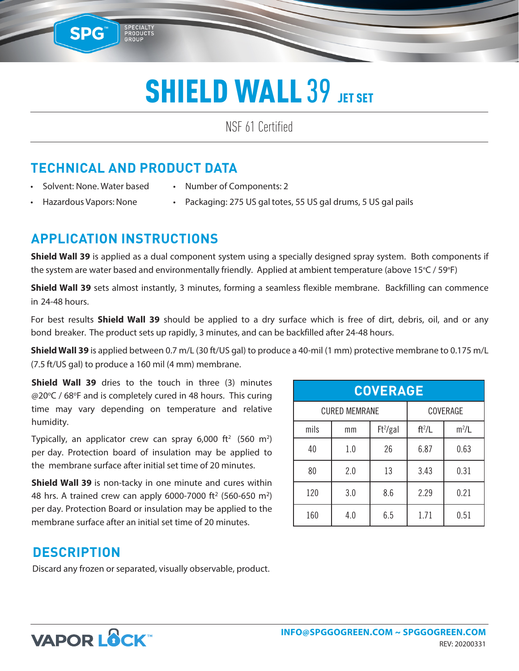NSF 61 Certified

### **TECHNICAL AND PRODUCT DATA**

SPECIALTY<br>PRODUCTS<br>GROUP

• Solvent: None. Water based

**SPG™** 

- Number of Components: 2
- Hazardous Vapors: None
- Packaging: 275 US gal totes, 55 US gal drums, 5 US gal pails

#### **APPLICATION INSTRUCTIONS**

**Shield Wall 39** is applied as a dual component system using a specially designed spray system. Both components if the system are water based and environmentally friendly. Applied at ambient temperature (above 15°C / 59°F)

**Shield Wall 39** sets almost instantly, 3 minutes, forming a seamless flexible membrane. Backfilling can commence in 24-48 hours.

For best results **Shield Wall 39** should be applied to a dry surface which is free of dirt, debris, oil, and or any bond breaker. The product sets up rapidly, 3 minutes, and can be backfilled after 24-48 hours.

**Shield Wall 39** is applied between 0.7 m/L (30 ft/US gal) to produce a 40-mil (1 mm) protective membrane to 0.175 m/L (7.5 ft/US gal) to produce a 160 mil (4 mm) membrane.

**Shield Wall 39** dries to the touch in three (3) minutes @20°C / 68°F and is completely cured in 48 hours. This curing time may vary depending on temperature and relative humidity.

Typically, an applicator crew can spray 6,000 ft<sup>2</sup> (560 m<sup>2</sup>) per day. Protection board of insulation may be applied to the membrane surface after initial set time of 20 minutes.

**Shield Wall 39** is non-tacky in one minute and cures within 48 hrs. A trained crew can apply 6000-7000 ft<sup>2</sup> (560-650 m<sup>2</sup>) per day. Protection Board or insulation may be applied to the membrane surface after an initial set time of 20 minutes.

| <b>COVERAGE</b>      |     |            |          |         |  |
|----------------------|-----|------------|----------|---------|--|
| <b>CURED MEMRANE</b> |     | COVERAGE   |          |         |  |
| mils                 | mm  | $Ft^2/gal$ | $ft^2/L$ | $m^2/L$ |  |
| 40                   | 1.0 | 26         | 6.87     | 0.63    |  |
| 80                   | 2.0 | 13         | 3.43     | 0.31    |  |
| 120                  | 3.0 | 8.6        | 2.29     | 0.21    |  |
| 160                  | 4.0 | 6.5        | 1.71     | 0.51    |  |

#### **DESCRIPTION**

Discard any frozen or separated, visually observable, product.